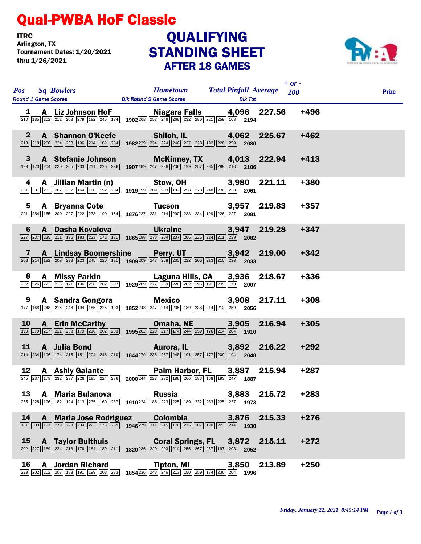## Qual-PWBA HoF Classic

**ITRC**<br>Arlington, TX Tournament Dates: 1/20/2021 thru 1/26/2021

## STANDING SHEET AFTER 18 GAMES **QUALIFYING**



|    | Pos Sq Bowlers Hometown Total Pinfall Average 200<br>Round 1 Game Scores Blk Round 2 Game Scores Blk Tot                                                                                                                                                                                                   |                                              |               | $+$ or - |        | <b>Prize</b> |
|----|------------------------------------------------------------------------------------------------------------------------------------------------------------------------------------------------------------------------------------------------------------------------------------------------------------|----------------------------------------------|---------------|----------|--------|--------------|
|    | <b>1</b> A Liz Johnson HoF Niagara Falls 4,096 227.56 +496<br>$\frac{210}{[210]^{185}[202]^{272}[203]^{279}[182]^{245}[184]}$ 1902 <sup>268</sup> 257 246 268 232 260 221 259 163 2194                                                                                                                     |                                              |               |          |        |              |
|    | 2 A Shannon O'Keefe Shiloh, IL 4,062 225.67 +462<br>213 218 218 219 225 196 214 189 204 1982 239 234 224 246 237 223 192 226 239 2080                                                                                                                                                                      |                                              |               |          |        |              |
|    | 3 A Stefanie Johnson McKinney, TX 4,013 222.94 +413<br>1907 189 247 236 236 199 236 199 257 235 239 210 2106                                                                                                                                                                                               |                                              |               |          |        |              |
|    | <b>4 A Jillian Martin (n)</b> Stow, OH 3,980 221.11<br><b>231</b> 233 267 237 164 160 192 204 1919 99 209 203 192 258 278 248 236 238 2061                                                                                                                                                                 |                                              |               |          | +380   |              |
|    | 5 A Bryanna Cote Tucson 3,957 219.83 +357<br>$\frac{221}{264}$ $\frac{165}{200}$ $\frac{227}{227}$ $\frac{222}{233}$ $\frac{190}{164}$ $\frac{164}{276}$ $\frac{227}{231}$ $\frac{231}{234}$ $\frac{290}{233}$ $\frac{234}{234}$ $\frac{199}{268}$ $\frac{226}{227}$ $\frac{228}{208$                      |                                              |               |          |        |              |
|    | 6 A Dasha Kovalova Ukraine 3,947 219.28<br>227 237 235 211 196 183 223 172 181 1865 198 278 204 237 266 225 224 211 239 2082                                                                                                                                                                               |                                              |               |          | $+347$ |              |
|    | 7 A Lindsay Boomershine Perry, UT 3,942 219.00<br>200 214 182 203 233 233 245 220 181 1909 209 247 258 235 222 206 213 210 233 2033                                                                                                                                                                        |                                              |               |          | $+342$ |              |
|    | 8 A Missy Parkin Laguna Hills, CA 3,936 218.67<br>232 226 223 216 171 196 236 202 207 1929 289 227 269 228 202 196 191 235 170 2007                                                                                                                                                                        |                                              |               |          | $+336$ |              |
|    | <b>9 A Sandra Gongora Mexico</b> 3,908 217.11<br>177 168 248 216 246 194 185 225 193 185 248 247 214 235 189 238 214 212 259 2056                                                                                                                                                                          |                                              |               |          | $+308$ |              |
|    | 10 <b>A</b> Erin McCarthy <b>Omaha, NE</b> 3,905 216.94<br>1995 <sup>202</sup> 202 202 202 203 214 224 239 176 214 204 1910                                                                                                                                                                                |                                              |               |          | $+305$ |              |
|    | 11 A Julia Bond <b>Aurora, IL</b> 3,892 216.22 +292<br>$\boxed{214} \boxed{234} \boxed{196} \boxed{174} \boxed{215} \boxed{151} \boxed{204} \boxed{246} \boxed{210} \boxed{1844} \boxed{279} \boxed{236} \boxed{257} \boxed{248} \boxed{191} \boxed{257} \boxed{177} \boxed{209} \boxed{194} \boxed{2048}$ |                                              |               |          |        |              |
|    |                                                                                                                                                                                                                                                                                                            |                                              |               |          |        |              |
| 13 | A Maria Bulanova<br>$\overline{ 265   228   196   182   194   213   235   160   237 }$ 1910 $\overline{ 224   185   223   225   189   232   233   225   237}$ 1973                                                                                                                                         | <b>Russia</b>                                | 3,883 215.72  |          | $+283$ |              |
| 14 | 181 203 191 279 28 23 234 235 173 239 1946 279 211 215 176 215 207 190 223 214                                                                                                                                                                                                                             | A Maria Jose Rodriguez Colombia 3,876 215.33 |               |          | $+276$ |              |
|    | 15 A Taylor Bulthuis Coral Springs, FL 3,872 215.11                                                                                                                                                                                                                                                        |                                              |               |          | $+272$ |              |
| 16 | <b>A</b> Jordan Richard<br>229 202 202 207 183 191 199 208 233 1854 236 248 246 213 180 259 174 236 204                                                                                                                                                                                                    | <b>Tipton, MI</b>                            | 3,850<br>1996 | 213.89   | $+250$ |              |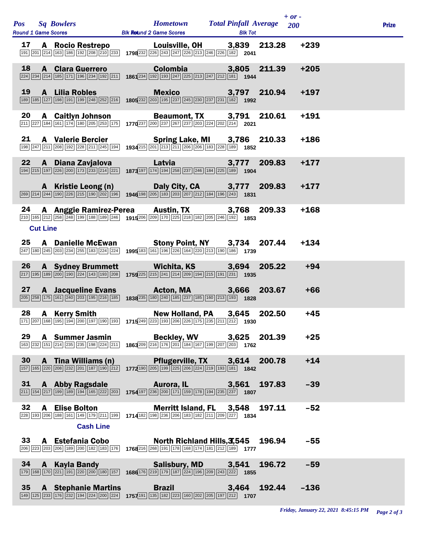|    |                 |                                         |                                                                                                                                                                                                                                                                                                                                                                                                                                                              |  | $+ or -$ | <b>Prize</b> |
|----|-----------------|-----------------------------------------|--------------------------------------------------------------------------------------------------------------------------------------------------------------------------------------------------------------------------------------------------------------------------------------------------------------------------------------------------------------------------------------------------------------------------------------------------------------|--|----------|--------------|
|    |                 |                                         | <b>17 A Rocio Restrepo Louisville, OH 3,839 213.28 199 213.28 199 2013</b> [200] $\frac{201}{201}$ [214] $\frac{163}{168}$ [192] $\frac{208}{208}$ [210] $\frac{233}{208}$ <b>1798</b> 232 [226] [243] [246] [226] [213] [246] [226] [182] <b>204</b>                                                                                                                                                                                                        |  | $+239$   |              |
| 18 |                 | <b>A</b> Clara Guerrero                 | Colombia 3,805 211.39<br>$\overline{224}\overline{234}\overline{234}\overline{214}\overline{185}\overline{171}\overline{196}\overline{234}\overline{192}\overline{211}\overline{196}\overline{1234}\overline{192}\overline{193}\overline{247}\overline{225}\overline{213}\overline{247}\overline{212}\overline{121}\overline{181}\overline{1944}$                                                                                                            |  | $+205$   |              |
| 19 |                 | A Lilia Robles                          | Mexico 3,797 210.94<br>$\overline{189}\overline{185}\overline{127}\overline{198}\overline{199}\overline{199}\overline{248}\overline{252}\overline{216}$ <b>1805</b> 232 233 135 237 245 230 237 231 132 <b>1392</b>                                                                                                                                                                                                                                          |  | $+197$   |              |
|    |                 |                                         | <b>20 A Caitlyn Johnson Beaumont, TX 3,791 210.61</b><br>211 227 184 161 174 180 205 253 175 1770 237 200 237 267 267 203 224 202 214 2021                                                                                                                                                                                                                                                                                                                   |  | $+191$   |              |
| 21 |                 |                                         | A Valerie Bercier Spring Lake, MI 3,786 210.33<br>198 247 211 208 199 228 211 245 199 199 226 215 201 213 211 206 206 183 228 189 1852                                                                                                                                                                                                                                                                                                                       |  | $+186$   |              |
|    |                 |                                         | <b>22 A Diana Zavjalova Latvia 3,777 209.83</b>                                                                                                                                                                                                                                                                                                                                                                                                              |  | $+177$   |              |
|    |                 |                                         | <b>A</b> Kristie Leong (n) <b>Daly City, CA</b> 3,777 209.83<br>289 214 244 190 226 216 190 202 196 202 196 1946 198 205 183 203 207 212 184 196 243 1831                                                                                                                                                                                                                                                                                                    |  | $+177$   |              |
|    | <b>Cut Line</b> |                                         | 24 A Anggie Ramirez-Perea Austin, TX 3,768 209.33<br>210 165 212 258 248 199 188 189 246 1915 206 209 170 225 218 182 205 216 192 1853                                                                                                                                                                                                                                                                                                                       |  | $+168$   |              |
|    |                 |                                         | 25 A Danielle McEwan Stony Point, NY 3,734 207.44<br>$\frac{1}{[247] \cdot [180]} \cdot \frac{1}{[245] \cdot [203]} \cdot \frac{1}{[234] \cdot [255] \cdot [183]} \cdot \frac{1}{[224]} \cdot \frac{1}{[244]} \cdot \frac{1}{[295] \cdot [183]} \cdot \frac{1}{[161] \cdot [196]} \cdot \frac{1}{[286] \cdot [164]} \cdot \frac{1}{[220] \cdot [213] \cdot [190]} \cdot \frac{1}{[186]} \cdot \frac{1}{[1739]} \cdot \frac{1}{[213] \cdot [213] \cdot [213]$ |  | $+134$   |              |
|    |                 |                                         | <b>26 A Sydney Brummett</b> Wichita, KS 3,694 205.22<br>217 195 189 200 190 224 143 193 208 1759 225 215 241 214 209 194 215 191 231 1935                                                                                                                                                                                                                                                                                                                    |  | $+94$    |              |
|    |                 |                                         | <b>27 A Jacqueline Evans Acton, MA 3,666 203.67</b><br>203 258 269 175 161 240 203 195 216 185 185 187 288 235 180 240 185 237 185 287 189 213 189 189 1828                                                                                                                                                                                                                                                                                                  |  | $+66$    |              |
|    |                 |                                         | New Holland, PA 3,645 202.50<br><b>28 A Kerry Smith New Holland, PA 3,645 2 171</b> $\frac{[371] [207] [168] [195] [194] [200] [197] [190] [193] }$ 1715 <sup>249</sup> $\frac{[233] [193] [206] [226] [175] [235] [211] [212]}{[1930]}$ 1930                                                                                                                                                                                                                |  | $+45$    |              |
| 29 |                 | <b>A</b> Summer Jasmin                  | Beckley, WV 3,625 201.39<br>163 232 151 214 235 235 198 224 211 1863 209 216 176 201 184 167 199 207 203 1762                                                                                                                                                                                                                                                                                                                                                |  | $+25$    |              |
| 30 |                 | <b>A</b> Tina Williams (n)              | Pflugerville, TX 3,614 200.78<br>157   165   220   208   232   201   187   190   212   1772 190   205   199   225   206   224   219   193   181   1842                                                                                                                                                                                                                                                                                                       |  | $+14$    |              |
| 31 |                 |                                         | A Abby Ragsdale Aurora, IL 3,561 197.83<br>$\boxed{211} \boxed{154} \boxed{217} \boxed{199} \boxed{189} \boxed{194} \boxed{165} \boxed{222} \boxed{203} \begin{bmatrix} 2754197 \boxed{236} \boxed{200} \boxed{171} \boxed{159} \boxed{178} \boxed{194} \boxed{235} \boxed{237} \end{bmatrix}$                                                                                                                                                               |  | $-39$    |              |
| 32 |                 | A Elise Bolton                          | Merritt Island, FL 3,548 197.11<br>$\boxed{228}\boxed{193}\boxed{206}\boxed{188}\boxed{161}\boxed{149}\boxed{179}\boxed{211}\boxed{199}$ 1714 182 198 236 206 183 182 211 209 227 1834                                                                                                                                                                                                                                                                       |  | $-52$    |              |
|    |                 | <b>Cash Line</b><br>33 A Estefania Cobo | North Richland Hills, 3,545 196.94<br>206 223 203 206 189 200 182 183 176 176 216 268 191 178 168 174 181 212 189 1777                                                                                                                                                                                                                                                                                                                                       |  | $-55$    |              |
| 34 |                 |                                         | A Kayla Bandy Salisbury, MD 3,541 196.72<br>179   168   170   221   191   220   200   180   157   1686 176   219   179   187   224   196   209   243   222   1855                                                                                                                                                                                                                                                                                            |  | $-59$    |              |
| 35 |                 | <b>A</b> Stephanie Martins              | Brazil 3,464 192.44<br>$\boxed{149}\boxed{125}\boxed{233}\boxed{176}\boxed{232}\boxed{194}\boxed{224}\boxed{200}\boxed{224}$ 1757 191 $\boxed{135}\boxed{182}\boxed{223}\boxed{160}\boxed{202}\boxed{205}\boxed{197}\boxed{212}$ 1707                                                                                                                                                                                                                        |  | $-136$   |              |